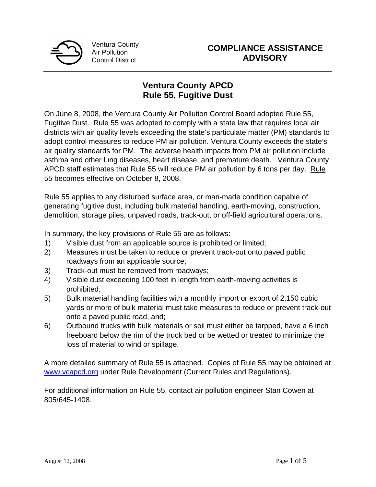

# **Ventura County APCD Rule 55, Fugitive Dust**

On June 8, 2008, the Ventura County Air Pollution Control Board adopted Rule 55, Fugitive Dust. Rule 55 was adopted to comply with a state law that requires local air districts with air quality levels exceeding the state's particulate matter (PM) standards to adopt control measures to reduce PM air pollution. Ventura County exceeds the state's air quality standards for PM. The adverse health impacts from PM air pollution include asthma and other lung diseases, heart disease, and premature death. Ventura County APCD staff estimates that Rule 55 will reduce PM air pollution by 6 tons per day. Rule 55 becomes effective on October 8, 2008.

Rule 55 applies to any disturbed surface area, or man-made condition capable of generating fugitive dust, including bulk material handling, earth-moving, construction, demolition, storage piles, unpaved roads, track-out, or off-field agricultural operations.

In summary, the key provisions of Rule 55 are as follows:

- 1) Visible dust from an applicable source is prohibited or limited;
- 2) Measures must be taken to reduce or prevent track-out onto paved public roadways from an applicable source;
- 3) Track-out must be removed from roadways;
- 4) Visible dust exceeding 100 feet in length from earth-moving activities is prohibited;
- 5) Bulk material handling facilities with a monthly import or export of 2,150 cubic yards or more of bulk material must take measures to reduce or prevent track-out onto a paved public road, and;
- 6) Outbound trucks with bulk materials or soil must either be tarpped, have a 6 inch freeboard below the rim of the truck bed or be wetted or treated to minimize the loss of material to wind or spillage.

A more detailed summary of Rule 55 is attached. Copies of Rule 55 may be obtained at www.vcapcd.org under Rule Development (Current Rules and Regulations).

For additional information on Rule 55, contact air pollution engineer Stan Cowen at 805/645-1408.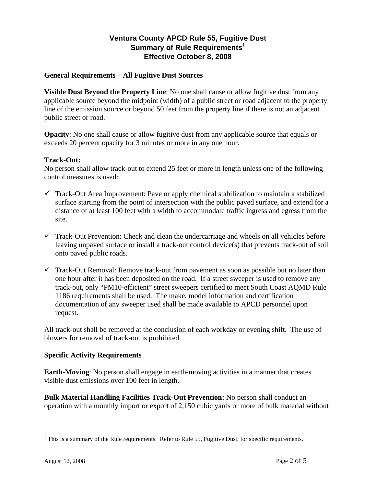# **Ventura County APCD Rule 55, Fugitive Dust Summary of Rule Requirements<sup>1</sup> Effective October 8, 2008**

### **General Requirements – All Fugitive Dust Sources**

**Visible Dust Beyond the Property Line**: No one shall cause or allow fugitive dust from any applicable source beyond the midpoint (width) of a public street or road adjacent to the property line of the emission source or beyond 50 feet from the property line if there is not an adjacent public street or road.

**Opacity**: No one shall cause or allow fugitive dust from any applicable source that equals or exceeds 20 percent opacity for 3 minutes or more in any one hour.

#### **Track-Out:**

No person shall allow track-out to extend 25 feet or more in length unless one of the following control measures is used:

- $\checkmark$  Track-Out Area Improvement: Pave or apply chemical stabilization to maintain a stabilized surface starting from the point of intersection with the public paved surface, and extend for a distance of at least 100 feet with a width to accommodate traffic ingress and egress from the site.
- $\checkmark$  Track-Out Prevention: Check and clean the undercarriage and wheels on all vehicles before leaving unpaved surface or install a track-out control device(s) that prevents track-out of soil onto paved public roads.
- $\checkmark$  Track-Out Removal: Remove track-out from pavement as soon as possible but no later than one hour after it has been deposited on the road. If a street sweeper is used to remove any track-out, only "PM10-efficient" street sweepers certified to meet South Coast AQMD Rule 1186 requirements shall be used. The make, model information and certification documentation of any sweeper used shall be made available to APCD personnel upon request.

All track-out shall be removed at the conclusion of each workday or evening shift. The use of blowers for removal of track-out is prohibited.

#### **Specific Activity Requirements**

**Earth-Moving**: No person shall engage in earth-moving activities in a manner that creates visible dust emissions over 100 feet in length.

**Bulk Material Handling Facilities Track-Out Prevention:** No person shall conduct an operation with a monthly import or export of 2,150 cubic yards or more of bulk material without

 $\overline{a}$ 

 $<sup>1</sup>$  This is a summary of the Rule requirements. Refer to Rule 55, Fugitive Dust, for specific requirements.</sup>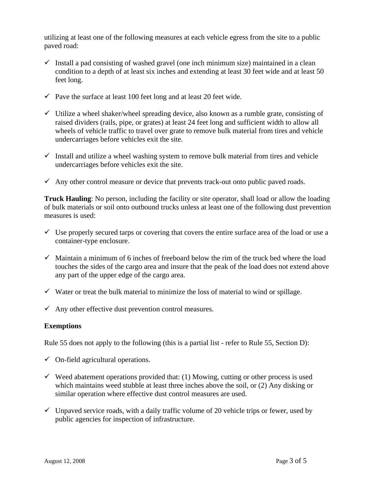utilizing at least one of the following measures at each vehicle egress from the site to a public paved road:

- $\checkmark$  Install a pad consisting of washed gravel (one inch minimum size) maintained in a clean condition to a depth of at least six inches and extending at least 30 feet wide and at least 50 feet long.
- $\checkmark$  Pave the surface at least 100 feet long and at least 20 feet wide.
- $\checkmark$  Utilize a wheel shaker/wheel spreading device, also known as a rumble grate, consisting of raised dividers (rails, pipe, or grates) at least 24 feet long and sufficient width to allow all wheels of vehicle traffic to travel over grate to remove bulk material from tires and vehicle undercarriages before vehicles exit the site.
- $\checkmark$  Install and utilize a wheel washing system to remove bulk material from tires and vehicle undercarriages before vehicles exit the site.
- $\checkmark$  Any other control measure or device that prevents track-out onto public paved roads.

**Truck Hauling**: No person, including the facility or site operator, shall load or allow the loading of bulk materials or soil onto outbound trucks unless at least one of the following dust prevention measures is used:

- $\checkmark$  Use properly secured tarps or covering that covers the entire surface area of the load or use a container-type enclosure.
- $\checkmark$  Maintain a minimum of 6 inches of freeboard below the rim of the truck bed where the load touches the sides of the cargo area and insure that the peak of the load does not extend above any part of the upper edge of the cargo area.
- $\checkmark$  Water or treat the bulk material to minimize the loss of material to wind or spillage.
- $\checkmark$  Any other effective dust prevention control measures.

#### **Exemptions**

Rule 55 does not apply to the following (this is a partial list - refer to Rule 55, Section D):

- $\checkmark$  On-field agricultural operations.
- $\checkmark$  Weed abatement operations provided that: (1) Mowing, cutting or other process is used which maintains weed stubble at least three inches above the soil, or (2) Any disking or similar operation where effective dust control measures are used.
- $\checkmark$  Unpaved service roads, with a daily traffic volume of 20 vehicle trips or fewer, used by public agencies for inspection of infrastructure.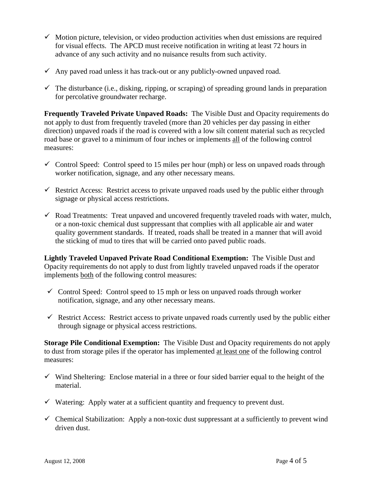- $\checkmark$  Motion picture, television, or video production activities when dust emissions are required for visual effects. The APCD must receive notification in writing at least 72 hours in advance of any such activity and no nuisance results from such activity.
- $\checkmark$  Any paved road unless it has track-out or any publicly-owned unpaved road.
- $\checkmark$  The disturbance (i.e., disking, ripping, or scraping) of spreading ground lands in preparation for percolative groundwater recharge.

**Frequently Traveled Private Unpaved Roads:** The Visible Dust and Opacity requirements do not apply to dust from frequently traveled (more than 20 vehicles per day passing in either direction) unpaved roads if the road is covered with a low silt content material such as recycled road base or gravel to a minimum of four inches or implements all of the following control measures:

- $\checkmark$  Control Speed: Control speed to 15 miles per hour (mph) or less on unpaved roads through worker notification, signage, and any other necessary means.
- $\checkmark$  Restrict Access: Restrict access to private unpaved roads used by the public either through signage or physical access restrictions.
- $\checkmark$  Road Treatments: Treat unpaved and uncovered frequently traveled roads with water, mulch, or a non-toxic chemical dust suppressant that complies with all applicable air and water quality government standards. If treated, roads shall be treated in a manner that will avoid the sticking of mud to tires that will be carried onto paved public roads.

**Lightly Traveled Unpaved Private Road Conditional Exemption:** The Visible Dust and Opacity requirements do not apply to dust from lightly traveled unpaved roads if the operator implements both of the following control measures:

- $\checkmark$  Control Speed: Control speed to 15 mph or less on unpaved roads through worker notification, signage, and any other necessary means.
- $\checkmark$  Restrict Access: Restrict access to private unpaved roads currently used by the public either through signage or physical access restrictions.

**Storage Pile Conditional Exemption:** The Visible Dust and Opacity requirements do not apply to dust from storage piles if the operator has implemented at least one of the following control measures:

- $\checkmark$  Wind Sheltering: Enclose material in a three or four sided barrier equal to the height of the material.
- $\checkmark$  Watering: Apply water at a sufficient quantity and frequency to prevent dust.
- $\checkmark$  Chemical Stabilization: Apply a non-toxic dust suppressant at a sufficiently to prevent wind driven dust.